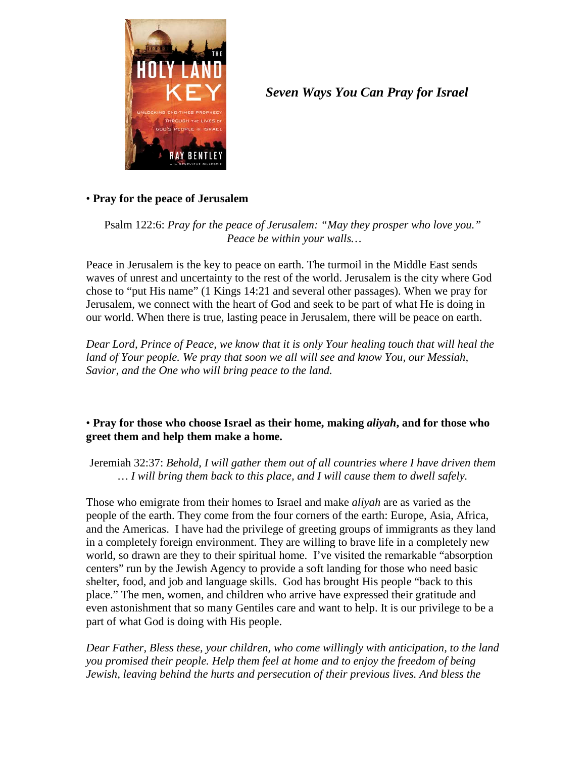

# *Seven Ways You Can Pray for Israel*

## • **Pray for the peace of Jerusalem**

Psalm 122:6: *Pray for the peace of Jerusalem: "May they prosper who love you." Peace be within your walls…*

Peace in Jerusalem is the key to peace on earth. The turmoil in the Middle East sends waves of unrest and uncertainty to the rest of the world. Jerusalem is the city where God chose to "put His name" (1 Kings 14:21 and several other passages). When we pray for Jerusalem, we connect with the heart of God and seek to be part of what He is doing in our world. When there is true, lasting peace in Jerusalem, there will be peace on earth.

*Dear Lord, Prince of Peace, we know that it is only Your healing touch that will heal the land of Your people. We pray that soon we all will see and know You, our Messiah, Savior, and the One who will bring peace to the land.*

# • **Pray for those who choose Israel as their home, making** *aliyah***, and for those who greet them and help them make a home.**

Jeremiah 32:37: *Behold, I will gather them out of all countries where I have driven them … I will bring them back to this place, and I will cause them to dwell safely.*

Those who emigrate from their homes to Israel and make *aliyah* are as varied as the people of the earth. They come from the four corners of the earth: Europe, Asia, Africa, and the Americas. I have had the privilege of greeting groups of immigrants as they land in a completely foreign environment. They are willing to brave life in a completely new world, so drawn are they to their spiritual home. I've visited the remarkable "absorption centers" run by the Jewish Agency to provide a soft landing for those who need basic shelter, food, and job and language skills. God has brought His people "back to this place." The men, women, and children who arrive have expressed their gratitude and even astonishment that so many Gentiles care and want to help. It is our privilege to be a part of what God is doing with His people.

*Dear Father, Bless these, your children, who come willingly with anticipation, to the land you promised their people. Help them feel at home and to enjoy the freedom of being Jewish, leaving behind the hurts and persecution of their previous lives. And bless the*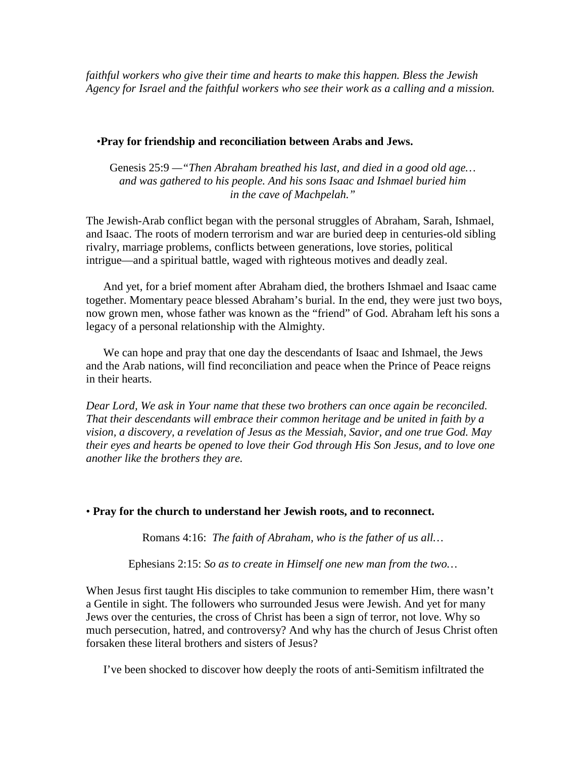*faithful workers who give their time and hearts to make this happen. Bless the Jewish Agency for Israel and the faithful workers who see their work as a calling and a mission.* 

#### •**Pray for friendship and reconciliation between Arabs and Jews.**

Genesis 25:9 *—"Then Abraham breathed his last, and died in a good old age… and was gathered to his people. And his sons Isaac and Ishmael buried him in the cave of Machpelah."*

The Jewish-Arab conflict began with the personal struggles of Abraham, Sarah, Ishmael, and Isaac. The roots of modern terrorism and war are buried deep in centuries-old sibling rivalry, marriage problems, conflicts between generations, love stories, political intrigue—and a spiritual battle, waged with righteous motives and deadly zeal.

And yet, for a brief moment after Abraham died, the brothers Ishmael and Isaac came together. Momentary peace blessed Abraham's burial. In the end, they were just two boys, now grown men, whose father was known as the "friend" of God. Abraham left his sons a legacy of a personal relationship with the Almighty.

We can hope and pray that one day the descendants of Isaac and Ishmael, the Jews and the Arab nations, will find reconciliation and peace when the Prince of Peace reigns in their hearts.

*Dear Lord, We ask in Your name that these two brothers can once again be reconciled. That their descendants will embrace their common heritage and be united in faith by a vision, a discovery, a revelation of Jesus as the Messiah, Savior, and one true God. May their eyes and hearts be opened to love their God through His Son Jesus, and to love one another like the brothers they are.*

#### • **Pray for the church to understand her Jewish roots, and to reconnect.**

Romans 4:16: *The faith of Abraham, who is the father of us all…*

Ephesians 2:15: *So as to create in Himself one new man from the two…*

When Jesus first taught His disciples to take communion to remember Him, there wasn't a Gentile in sight. The followers who surrounded Jesus were Jewish. And yet for many Jews over the centuries, the cross of Christ has been a sign of terror, not love. Why so much persecution, hatred, and controversy? And why has the church of Jesus Christ often forsaken these literal brothers and sisters of Jesus?

I've been shocked to discover how deeply the roots of anti-Semitism infiltrated the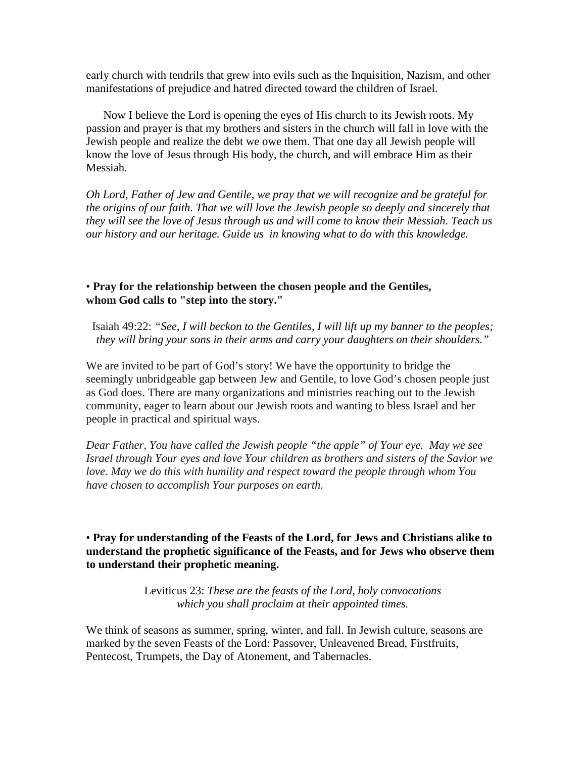early church with tendrils that grew into evils such as the Inquisition, Nazism, and other manifestations of prejudice and hatred directed toward the children of Israel.

Now I believe the Lord is opening the eyes of His church to its Jewish roots. My passion and prayer is that my brothers and sisters in the church will fall in love with the Jewish people and realize the debt we owe them. That one day all Jewish people will know the love of Jesus through His body, the church, and will embrace Him as their Messiah.

*Oh Lord, Father of Jew and Gentile, we pray that we will recognize and be grateful for the origins of our faith. That we will love the Jewish people so deeply and sincerely that they will see the love of Jesus through us and will come to know their Messiah. Teach us our history and our heritage. Guide us in knowing what to do with this knowledge.* 

• **Pray for the relationship between the chosen people and the Gentiles, whom God calls to "step into the story."**

Isaiah 49:22: *"See, I will beckon to the Gentiles, I will lift up my banner to the peoples; they will bring your sons in their arms and carry your daughters on their shoulders."*

We are invited to be part of God's story! We have the opportunity to bridge the seemingly unbridgeable gap between Jew and Gentile, to love God's chosen people just as God does. There are many organizations and ministries reaching out to the Jewish community, eager to learn about our Jewish roots and wanting to bless Israel and her people in practical and spiritual ways.

*Dear Father, You have called the Jewish people "the apple" of Your eye. May we see Israel through Your eyes and love Your children as brothers and sisters of the Savior we love. May we do this with humility and respect toward the people through whom You have chosen to accomplish Your purposes on earth.*

## • **Pray for understanding of the Feasts of the Lord, for Jews and Christians alike to understand the prophetic significance of the Feasts, and for Jews who observe them to understand their prophetic meaning.**

Leviticus 23: *These are the feasts of the Lord, holy convocations which you shall proclaim at their appointed times.*

We think of seasons as summer, spring, winter, and fall. In Jewish culture, seasons are marked by the seven Feasts of the Lord: Passover, Unleavened Bread, Firstfruits, Pentecost, Trumpets, the Day of Atonement, and Tabernacles.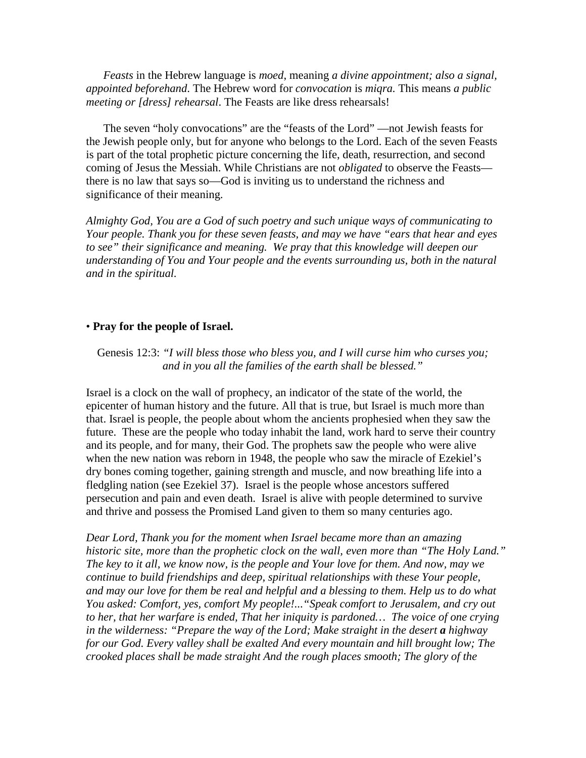*Feasts* in the Hebrew language is *moed*, meaning *a divine appointment; also a signal, appointed beforehand*. The Hebrew word for *convocation* is *miqra.* This means *a public meeting or [dress] rehearsal*. The Feasts are like dress rehearsals!

The seven "holy convocations" are the "feasts of the Lord" —not Jewish feasts for the Jewish people only, but for anyone who belongs to the Lord. Each of the seven Feasts is part of the total prophetic picture concerning the life, death, resurrection, and second coming of Jesus the Messiah. While Christians are not *obligated* to observe the Feasts there is no law that says so—God is inviting us to understand the richness and significance of their meaning.

*Almighty God, You are a God of such poetry and such unique ways of communicating to Your people. Thank you for these seven feasts, and may we have "ears that hear and eyes to see" their significance and meaning. We pray that this knowledge will deepen our understanding of You and Your people and the events surrounding us, both in the natural and in the spiritual.* 

#### • **Pray for the people of Israel.**

#### Genesis 12:3: *"I will bless those who bless you, and I will curse him who curses you; and in you all the families of the earth shall be blessed."*

Israel is a clock on the wall of prophecy, an indicator of the state of the world, the epicenter of human history and the future. All that is true, but Israel is much more than that. Israel is people, the people about whom the ancients prophesied when they saw the future. These are the people who today inhabit the land, work hard to serve their country and its people, and for many, their God. The prophets saw the people who were alive when the new nation was reborn in 1948, the people who saw the miracle of Ezekiel's dry bones coming together, gaining strength and muscle, and now breathing life into a fledgling nation (see Ezekiel 37). Israel is the people whose ancestors suffered persecution and pain and even death. Israel is alive with people determined to survive and thrive and possess the Promised Land given to them so many centuries ago.

*Dear Lord, Thank you for the moment when Israel became more than an amazing historic site, more than the prophetic clock on the wall, even more than "The Holy Land." The key to it all, we know now, is the people and Your love for them. And now, may we continue to build friendships and deep, spiritual relationships with these Your people, and may our love for them be real and helpful and a blessing to them. Help us to do what You asked: Comfort, yes, comfort My people!..."Speak comfort to Jerusalem, and cry out to her, that her warfare is ended, That her iniquity is pardoned… The voice of one crying in the wilderness: "Prepare the way of the Lord; Make straight in the desert a highway for our God. Every valley shall be exalted And every mountain and hill brought low; The crooked places shall be made straight And the rough places smooth; The glory of the*